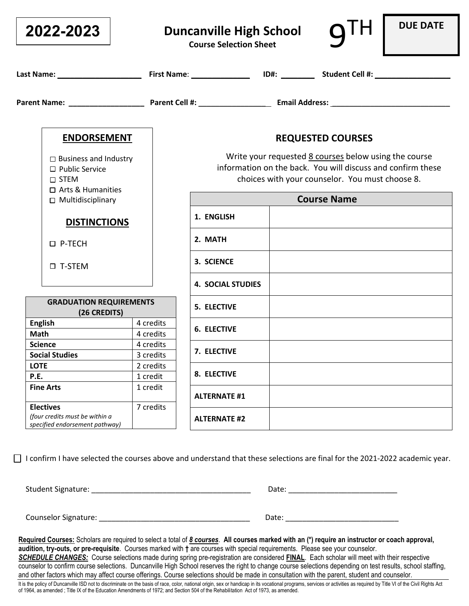| 2022-2023                                                                                      |                        | <b>Duncanville High School</b><br><b>Course Selection Sheet</b>                                                                                                         |  |                          | <b>DUE DATE</b> |
|------------------------------------------------------------------------------------------------|------------------------|-------------------------------------------------------------------------------------------------------------------------------------------------------------------------|--|--------------------------|-----------------|
|                                                                                                |                        |                                                                                                                                                                         |  |                          |                 |
|                                                                                                |                        |                                                                                                                                                                         |  |                          |                 |
| <b>ENDORSEMENT</b>                                                                             |                        |                                                                                                                                                                         |  | <b>REQUESTED COURSES</b> |                 |
| $\Box$ Business and Industry<br>$\Box$ Public Service<br>$\square$ STEM<br>□ Arts & Humanities |                        | Write your requested 8 courses below using the course<br>information on the back. You will discuss and confirm these<br>choices with your counselor. You must choose 8. |  |                          |                 |
| $\Box$ Multidisciplinary                                                                       |                        | <b>Course Name</b>                                                                                                                                                      |  |                          |                 |
| <b>DISTINCTIONS</b>                                                                            |                        | 1. ENGLISH                                                                                                                                                              |  |                          |                 |
| □ P-TECH                                                                                       |                        | 2. MATH                                                                                                                                                                 |  |                          |                 |
| □ T-STEM                                                                                       |                        | 3. SCIENCE                                                                                                                                                              |  |                          |                 |
|                                                                                                |                        | <b>4. SOCIAL STUDIES</b>                                                                                                                                                |  |                          |                 |
| <b>GRADUATION REQUIREMENTS</b><br>(26 CREDITS)                                                 |                        | <b>5. ELECTIVE</b>                                                                                                                                                      |  |                          |                 |
| <b>English</b><br><b>Math</b>                                                                  | 4 credits<br>4 credits | <b>6. ELECTIVE</b>                                                                                                                                                      |  |                          |                 |
| <b>Science</b>                                                                                 | 4 credits              | 7. ELECTIVE                                                                                                                                                             |  |                          |                 |
| <b>Social Studies</b>                                                                          | 3 credits              |                                                                                                                                                                         |  |                          |                 |
| <b>LOTE</b><br>P.E.                                                                            | 2 credits<br>1 credit  | 8. ELECTIVE                                                                                                                                                             |  |                          |                 |
| <b>Fine Arts</b>                                                                               | 1 credit               | <b>ALTERNATE #1</b>                                                                                                                                                     |  |                          |                 |
| <b>Electives</b><br>(four credits must be within a<br>specified endorsement pathway)           | 7 credits              | <b>ALTERNATE #2</b>                                                                                                                                                     |  |                          |                 |

 $\Box$  I confirm I have selected the courses above and understand that these selections are final for the 2021-2022 academic year.

Student Signature: \_\_\_\_\_\_\_\_\_\_\_\_\_\_\_\_\_\_\_\_\_\_\_\_\_\_\_\_\_\_\_\_\_\_\_\_\_\_ Date: \_\_\_\_\_\_\_\_\_\_\_\_\_\_\_\_\_\_\_\_\_\_\_\_\_\_

Counselor Signature: \_\_\_\_\_\_\_\_\_\_\_\_\_\_\_\_\_\_\_\_\_\_\_\_\_\_\_\_\_\_\_\_\_\_\_\_ Date: \_\_\_\_\_\_\_\_\_\_\_\_\_\_\_\_\_\_\_\_\_\_\_\_\_\_\_

**Required Courses:** Scholars are required to select a total of *8 courses*. **All courses marked with an (\*) require an instructor or coach approval, audition, try-outs, or pre-requisite**. Courses marked with **†** are courses with special requirements. Please see your counselor. *SCHEDULE CHANGES:* Course selections made during spring pre-registration are considered **FINAL**. Each scholar will meet with their respective counselor to confirm course selections. Duncanville High School reserves the right to change course selections depending on test results, school staffing, and other factors which may affect course offerings. Course selections should be made in consultation with the parent, student and counselor. It is the policy of Duncanville ISD not to discriminate on the basis of race, color, national origin, sex or handicap in its vocational programs, services or activities as required by Title VI of the Civil Rights Act

of 1964, as amended ; Title IX of the Education Amendments of 1972; and Section 504 of the Rehabilitation Act of 1973, as amended.